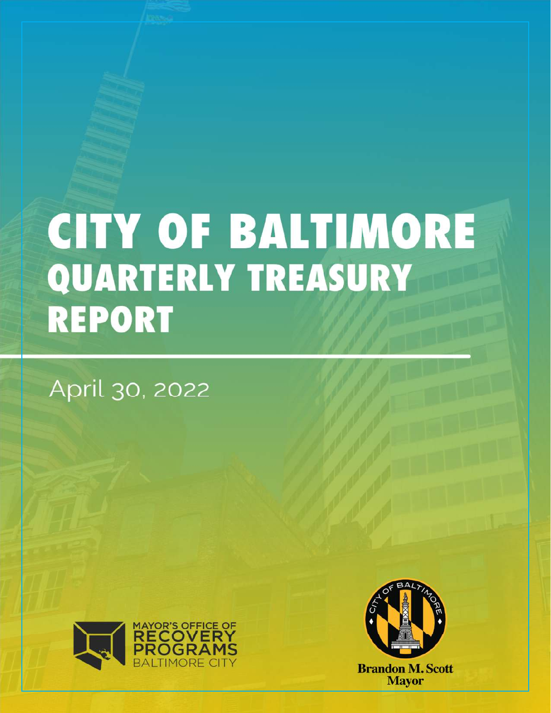## **CITY OF BALTIMORE** QUARTERLY TREASURY **REPORT**

April 30, 2022



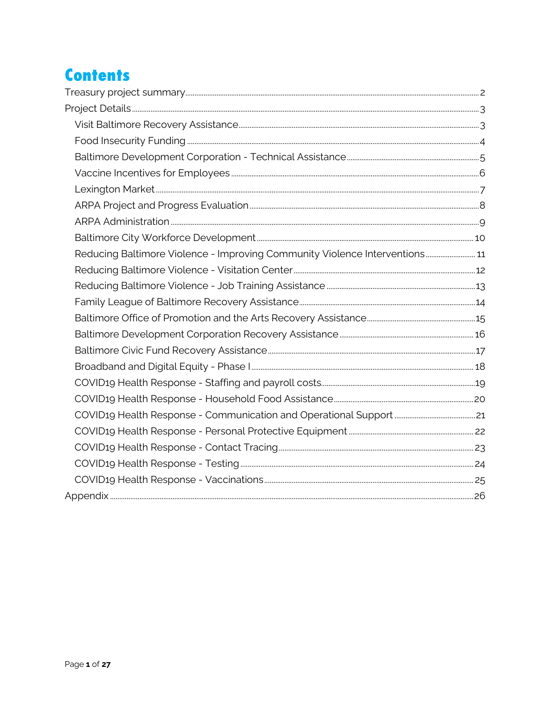## **Contents**

| Reducing Baltimore Violence - Improving Community Violence Interventions 11 |  |
|-----------------------------------------------------------------------------|--|
|                                                                             |  |
|                                                                             |  |
|                                                                             |  |
|                                                                             |  |
|                                                                             |  |
|                                                                             |  |
|                                                                             |  |
|                                                                             |  |
|                                                                             |  |
|                                                                             |  |
|                                                                             |  |
|                                                                             |  |
|                                                                             |  |
|                                                                             |  |
|                                                                             |  |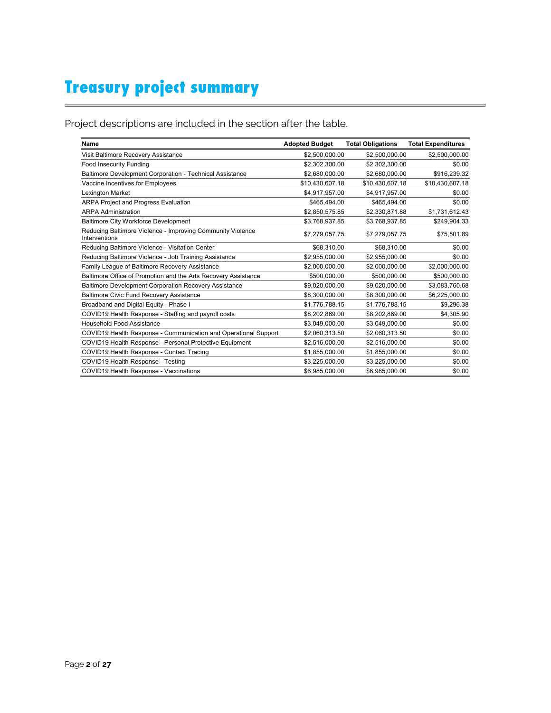## **Treasury project summary**

Project descriptions are included in the section after the table.

| <b>Name</b>                                                                 | <b>Adopted Budget</b> | <b>Total Obligations</b> | <b>Total Expenditures</b> |
|-----------------------------------------------------------------------------|-----------------------|--------------------------|---------------------------|
| Visit Baltimore Recovery Assistance                                         | \$2,500,000.00        | \$2,500,000.00           | \$2,500,000.00            |
| Food Insecurity Funding                                                     | \$2,302,300.00        | \$2,302,300.00           | \$0.00                    |
| Baltimore Development Corporation - Technical Assistance                    | \$2,680,000.00        | \$2,680,000.00           | \$916,239.32              |
| Vaccine Incentives for Employees                                            | \$10,430,607.18       | \$10,430,607.18          | \$10,430,607.18           |
| Lexington Market                                                            | \$4,917,957.00        | \$4,917,957.00           | \$0.00                    |
| <b>ARPA Project and Progress Evaluation</b>                                 | \$465.494.00          | \$465.494.00             | \$0.00                    |
| <b>ARPA Administration</b>                                                  | \$2,850,575.85        | \$2,330,871.88           | \$1,731,612.43            |
| <b>Baltimore City Workforce Development</b>                                 | \$3,768,937.85        | \$3,768,937.85           | \$249,904.33              |
| Reducing Baltimore Violence - Improving Community Violence<br>Interventions | \$7,279,057.75        | \$7,279,057.75           | \$75,501.89               |
| Reducing Baltimore Violence - Visitation Center                             | \$68,310.00           | \$68,310.00              | \$0.00                    |
| Reducing Baltimore Violence - Job Training Assistance                       | \$2.955.000.00        | \$2.955.000.00           | \$0.00                    |
| Family League of Baltimore Recovery Assistance                              | \$2,000,000.00        | \$2,000,000.00           | \$2,000,000.00            |
| Baltimore Office of Promotion and the Arts Recovery Assistance              | \$500,000.00          | \$500.000.00             | \$500,000.00              |
| Baltimore Development Corporation Recovery Assistance                       | \$9,020,000.00        | \$9,020,000.00           | \$3,083,760.68            |
| <b>Baltimore Civic Fund Recovery Assistance</b>                             | \$8,300,000.00        | \$8,300,000.00           | \$6,225,000.00            |
| Broadband and Digital Equity - Phase I                                      | \$1,776,788.15        | \$1,776,788.15           | \$9,296.38                |
| COVID19 Health Response - Staffing and payroll costs                        | \$8,202,869.00        | \$8.202.869.00           | \$4,305.90                |
| Household Food Assistance                                                   | \$3,049,000.00        | \$3,049,000.00           | \$0.00                    |
| COVID19 Health Response - Communication and Operational Support             | \$2,060,313.50        | \$2,060,313.50           | \$0.00                    |
| COVID19 Health Response - Personal Protective Equipment                     | \$2,516,000.00        | \$2,516,000.00           | \$0.00                    |
| COVID19 Health Response - Contact Tracing                                   | \$1,855,000.00        | \$1,855,000.00           | \$0.00                    |
| COVID19 Health Response - Testing                                           | \$3,225,000.00        | \$3,225,000.00           | \$0.00                    |
| COVID19 Health Response - Vaccinations                                      | \$6,985,000.00        | \$6,985,000.00           | \$0.00                    |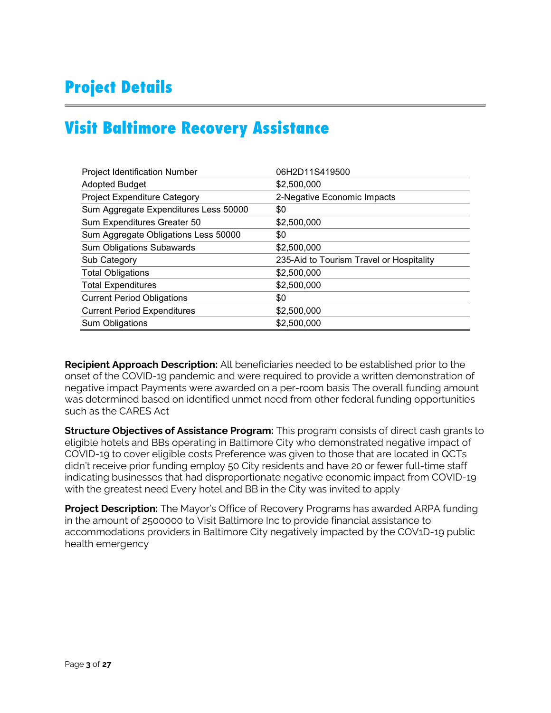## **Project Details**

## **Visit Baltimore Recovery Assistance**

| <b>Project Identification Number</b>  | 06H2D11S419500                           |
|---------------------------------------|------------------------------------------|
| <b>Adopted Budget</b>                 | \$2,500,000                              |
| Project Expenditure Category          | 2-Negative Economic Impacts              |
| Sum Aggregate Expenditures Less 50000 | \$0                                      |
| Sum Expenditures Greater 50           | \$2,500,000                              |
| Sum Aggregate Obligations Less 50000  | \$0                                      |
| <b>Sum Obligations Subawards</b>      | \$2,500,000                              |
| Sub Category                          | 235-Aid to Tourism Travel or Hospitality |
| <b>Total Obligations</b>              | \$2,500,000                              |
| <b>Total Expenditures</b>             | \$2,500,000                              |
| <b>Current Period Obligations</b>     | \$0                                      |
| <b>Current Period Expenditures</b>    | \$2,500,000                              |
| <b>Sum Obligations</b>                | \$2,500,000                              |

**Recipient Approach Description:** All beneficiaries needed to be established prior to the onset of the COVID-19 pandemic and were required to provide a written demonstration of negative impact Payments were awarded on a per-room basis The overall funding amount was determined based on identified unmet need from other federal funding opportunities such as the CARES Act

**Structure Objectives of Assistance Program:** This program consists of direct cash grants to eligible hotels and BBs operating in Baltimore City who demonstrated negative impact of COVID-19 to cover eligible costs Preference was given to those that are located in QCTs didn't receive prior funding employ 50 City residents and have 20 or fewer full-time staff indicating businesses that had disproportionate negative economic impact from COVID-19 with the greatest need Every hotel and BB in the City was invited to apply

**Project Description:** The Mayor's Office of Recovery Programs has awarded ARPA funding in the amount of 2500000 to Visit Baltimore Inc to provide financial assistance to accommodations providers in Baltimore City negatively impacted by the COV1D-19 public health emergency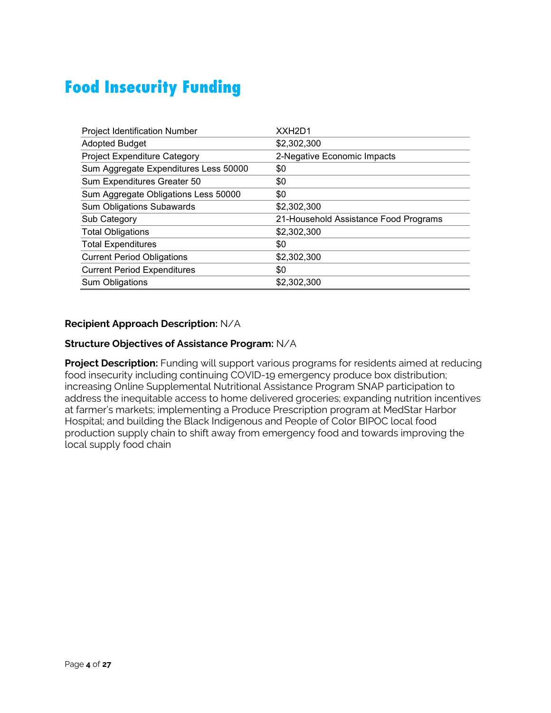## **Food Insecurity Funding**

| <b>Project Identification Number</b>  | XXH <sub>2</sub> D <sub>1</sub>       |
|---------------------------------------|---------------------------------------|
| <b>Adopted Budget</b>                 | \$2,302,300                           |
| Project Expenditure Category          | 2-Negative Economic Impacts           |
| Sum Aggregate Expenditures Less 50000 | \$0                                   |
| Sum Expenditures Greater 50           | \$0                                   |
| Sum Aggregate Obligations Less 50000  | \$0                                   |
| <b>Sum Obligations Subawards</b>      | \$2,302,300                           |
| Sub Category                          | 21-Household Assistance Food Programs |
| <b>Total Obligations</b>              | \$2,302,300                           |
| <b>Total Expenditures</b>             | \$0                                   |
| <b>Current Period Obligations</b>     | \$2,302,300                           |
| <b>Current Period Expenditures</b>    | \$0                                   |
| Sum Obligations                       | \$2,302,300                           |

### **Recipient Approach Description:** N/A

#### **Structure Objectives of Assistance Program:** N/A

**Project Description:** Funding will support various programs for residents aimed at reducing food insecurity including continuing COVID-19 emergency produce box distribution; increasing Online Supplemental Nutritional Assistance Program SNAP participation to address the inequitable access to home delivered groceries; expanding nutrition incentives at farmer's markets; implementing a Produce Prescription program at MedStar Harbor Hospital; and building the Black Indigenous and People of Color BIPOC local food production supply chain to shift away from emergency food and towards improving the local supply food chain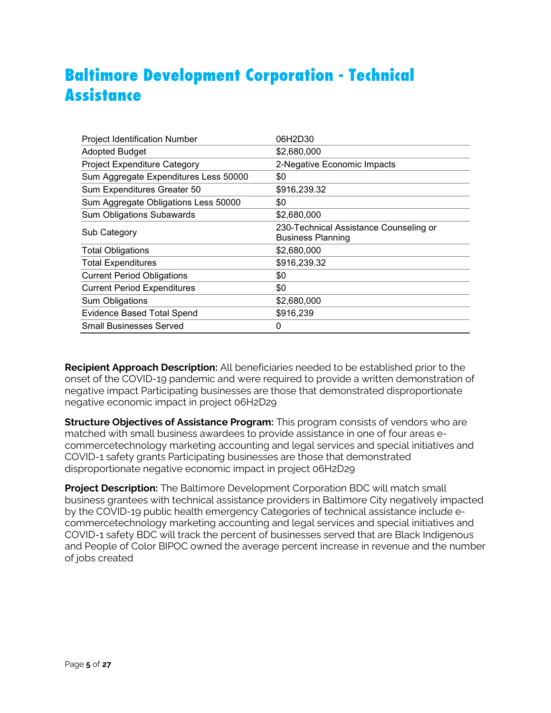## **Baltimore Development Corporation - Technical Assistance**

| <b>Project Identification Number</b>  | 06H2D30                                                            |
|---------------------------------------|--------------------------------------------------------------------|
| <b>Adopted Budget</b>                 | \$2,680,000                                                        |
| <b>Project Expenditure Category</b>   | 2-Negative Economic Impacts                                        |
| Sum Aggregate Expenditures Less 50000 | \$0                                                                |
| Sum Expenditures Greater 50           | \$916,239.32                                                       |
| Sum Aggregate Obligations Less 50000  | \$0                                                                |
| <b>Sum Obligations Subawards</b>      | \$2,680,000                                                        |
| Sub Category                          | 230-Technical Assistance Counseling or<br><b>Business Planning</b> |
| <b>Total Obligations</b>              | \$2,680,000                                                        |
| <b>Total Expenditures</b>             | \$916,239.32                                                       |
| <b>Current Period Obligations</b>     | \$0                                                                |
| <b>Current Period Expenditures</b>    | \$0                                                                |
| Sum Obligations                       | \$2,680,000                                                        |
| <b>Evidence Based Total Spend</b>     | \$916,239                                                          |
| <b>Small Businesses Served</b>        | O                                                                  |

**Recipient Approach Description:** All beneficiaries needed to be established prior to the onset of the COVID-19 pandemic and were required to provide a written demonstration of negative impact Participating businesses are those that demonstrated disproportionate negative economic impact in project 06H2D29

**Structure Objectives of Assistance Program:** This program consists of vendors who are matched with small business awardees to provide assistance in one of four areas ecommercetechnology marketing accounting and legal services and special initiatives and COVID-1 safety grants Participating businesses are those that demonstrated disproportionate negative economic impact in project 06H2D29

**Project Description:** The Baltimore Development Corporation BDC will match small business grantees with technical assistance providers in Baltimore City negatively impacted by the COVID-19 public health emergency Categories of technical assistance include ecommercetechnology marketing accounting and legal services and special initiatives and COVID-1 safety BDC will track the percent of businesses served that are Black Indigenous and People of Color BIPOC owned the average percent increase in revenue and the number of jobs created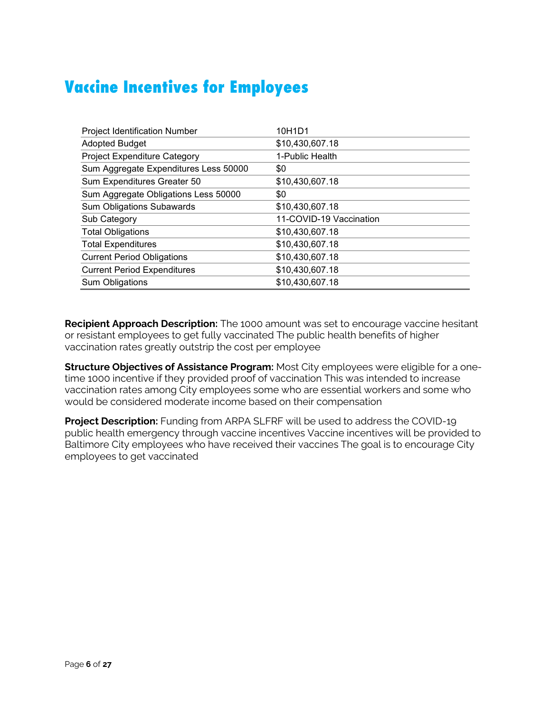## **Vaccine Incentives for Employees**

| <b>Project Identification Number</b>  | 10H1D1                  |
|---------------------------------------|-------------------------|
| <b>Adopted Budget</b>                 | \$10,430,607.18         |
| Project Expenditure Category          | 1-Public Health         |
| Sum Aggregate Expenditures Less 50000 | \$0                     |
| Sum Expenditures Greater 50           | \$10,430,607.18         |
| Sum Aggregate Obligations Less 50000  | \$0                     |
| <b>Sum Obligations Subawards</b>      | \$10,430,607.18         |
| Sub Category                          | 11-COVID-19 Vaccination |
| <b>Total Obligations</b>              | \$10,430,607.18         |
| <b>Total Expenditures</b>             | \$10,430,607.18         |
| <b>Current Period Obligations</b>     | \$10,430,607.18         |
| <b>Current Period Expenditures</b>    | \$10,430,607.18         |
| Sum Obligations                       | \$10,430,607.18         |

**Recipient Approach Description:** The 1000 amount was set to encourage vaccine hesitant or resistant employees to get fully vaccinated The public health benefits of higher vaccination rates greatly outstrip the cost per employee

**Structure Objectives of Assistance Program:** Most City employees were eligible for a onetime 1000 incentive if they provided proof of vaccination This was intended to increase vaccination rates among City employees some who are essential workers and some who would be considered moderate income based on their compensation

**Project Description:** Funding from ARPA SLFRF will be used to address the COVID-19 public health emergency through vaccine incentives Vaccine incentives will be provided to Baltimore City employees who have received their vaccines The goal is to encourage City employees to get vaccinated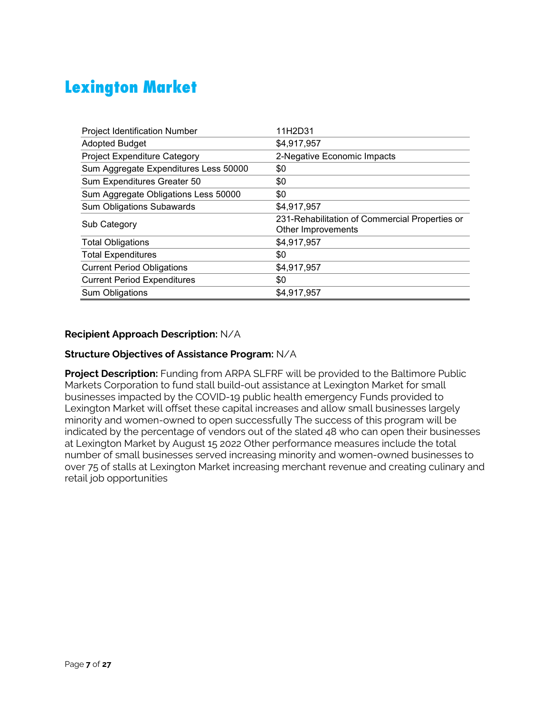## **Lexington Market**

| <b>Project Identification Number</b>  | 11H2D31                                                              |
|---------------------------------------|----------------------------------------------------------------------|
| <b>Adopted Budget</b>                 | \$4,917,957                                                          |
| <b>Project Expenditure Category</b>   | 2-Negative Economic Impacts                                          |
| Sum Aggregate Expenditures Less 50000 | \$0                                                                  |
| Sum Expenditures Greater 50           | \$0                                                                  |
| Sum Aggregate Obligations Less 50000  | \$0                                                                  |
| <b>Sum Obligations Subawards</b>      | \$4,917,957                                                          |
| Sub Category                          | 231-Rehabilitation of Commercial Properties or<br>Other Improvements |
| <b>Total Obligations</b>              | \$4,917,957                                                          |
| <b>Total Expenditures</b>             | \$0                                                                  |
| <b>Current Period Obligations</b>     | \$4,917,957                                                          |
| <b>Current Period Expenditures</b>    | \$0                                                                  |
| Sum Obligations                       | \$4,917,957                                                          |

### **Recipient Approach Description:** N/A

#### **Structure Objectives of Assistance Program:** N/A

**Project Description:** Funding from ARPA SLFRF will be provided to the Baltimore Public Markets Corporation to fund stall build-out assistance at Lexington Market for small businesses impacted by the COVID-19 public health emergency Funds provided to Lexington Market will offset these capital increases and allow small businesses largely minority and women-owned to open successfully The success of this program will be indicated by the percentage of vendors out of the slated 48 who can open their businesses at Lexington Market by August 15 2022 Other performance measures include the total number of small businesses served increasing minority and women-owned businesses to over 75 of stalls at Lexington Market increasing merchant revenue and creating culinary and retail job opportunities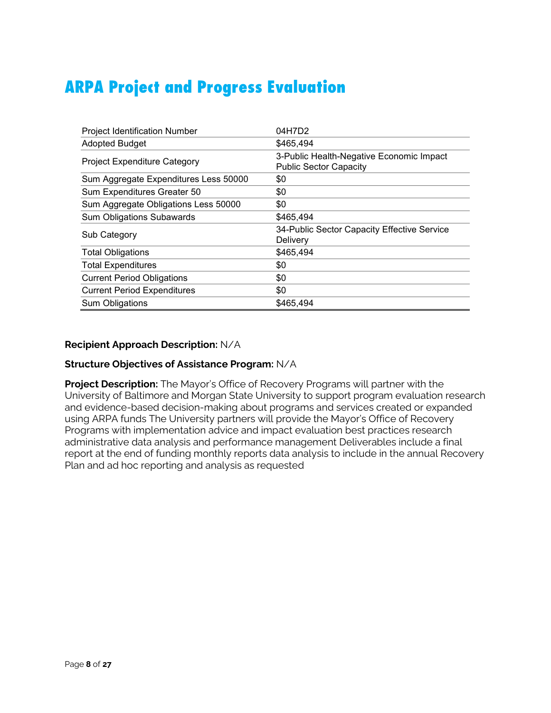## **ARPA Project and Progress Evaluation**

| <b>Project Identification Number</b>  | 04H7D2                                                                    |
|---------------------------------------|---------------------------------------------------------------------------|
| <b>Adopted Budget</b>                 | \$465,494                                                                 |
| <b>Project Expenditure Category</b>   | 3-Public Health-Negative Economic Impact<br><b>Public Sector Capacity</b> |
| Sum Aggregate Expenditures Less 50000 | \$0                                                                       |
| Sum Expenditures Greater 50           | \$0                                                                       |
| Sum Aggregate Obligations Less 50000  | \$0                                                                       |
| <b>Sum Obligations Subawards</b>      | \$465,494                                                                 |
| Sub Category                          | 34-Public Sector Capacity Effective Service<br>Delivery                   |
| <b>Total Obligations</b>              | \$465,494                                                                 |
| <b>Total Expenditures</b>             | \$0                                                                       |
| <b>Current Period Obligations</b>     | \$0                                                                       |
| <b>Current Period Expenditures</b>    | \$0                                                                       |
| Sum Obligations                       | \$465,494                                                                 |

#### **Recipient Approach Description:** N/A

#### **Structure Objectives of Assistance Program:** N/A

**Project Description:** The Mayor's Office of Recovery Programs will partner with the University of Baltimore and Morgan State University to support program evaluation research and evidence-based decision-making about programs and services created or expanded using ARPA funds The University partners will provide the Mayor's Office of Recovery Programs with implementation advice and impact evaluation best practices research administrative data analysis and performance management Deliverables include a final report at the end of funding monthly reports data analysis to include in the annual Recovery Plan and ad hoc reporting and analysis as requested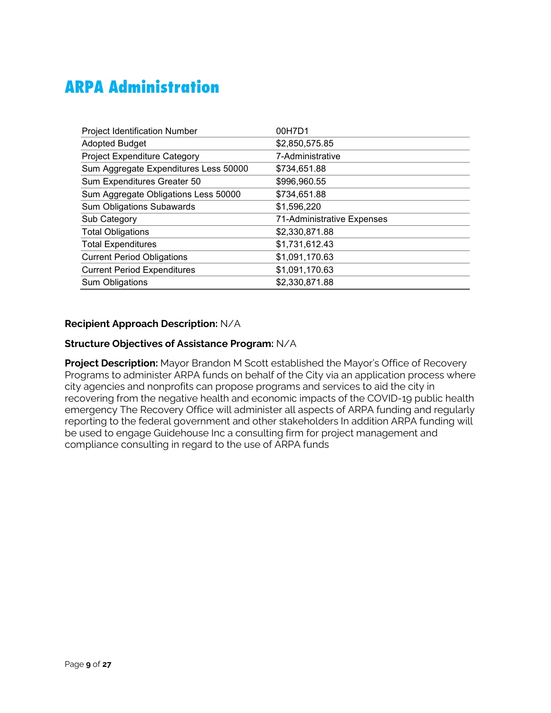## **ARPA Administration**

| <b>Project Identification Number</b>  | 00H7D1                     |
|---------------------------------------|----------------------------|
| <b>Adopted Budget</b>                 | \$2,850,575.85             |
| Project Expenditure Category          | 7-Administrative           |
| Sum Aggregate Expenditures Less 50000 | \$734,651.88               |
| Sum Expenditures Greater 50           | \$996,960.55               |
| Sum Aggregate Obligations Less 50000  | \$734,651.88               |
| <b>Sum Obligations Subawards</b>      | \$1,596,220                |
| Sub Category                          | 71-Administrative Expenses |
| <b>Total Obligations</b>              | \$2,330,871.88             |
| <b>Total Expenditures</b>             | \$1,731,612.43             |
| <b>Current Period Obligations</b>     | \$1,091,170.63             |
| <b>Current Period Expenditures</b>    | \$1,091,170.63             |
| Sum Obligations                       | \$2,330,871.88             |

### **Recipient Approach Description:** N/A

#### **Structure Objectives of Assistance Program:** N/A

**Project Description:** Mayor Brandon M Scott established the Mayor's Office of Recovery Programs to administer ARPA funds on behalf of the City via an application process where city agencies and nonprofits can propose programs and services to aid the city in recovering from the negative health and economic impacts of the COVID-19 public health emergency The Recovery Office will administer all aspects of ARPA funding and regularly reporting to the federal government and other stakeholders In addition ARPA funding will be used to engage Guidehouse Inc a consulting firm for project management and compliance consulting in regard to the use of ARPA funds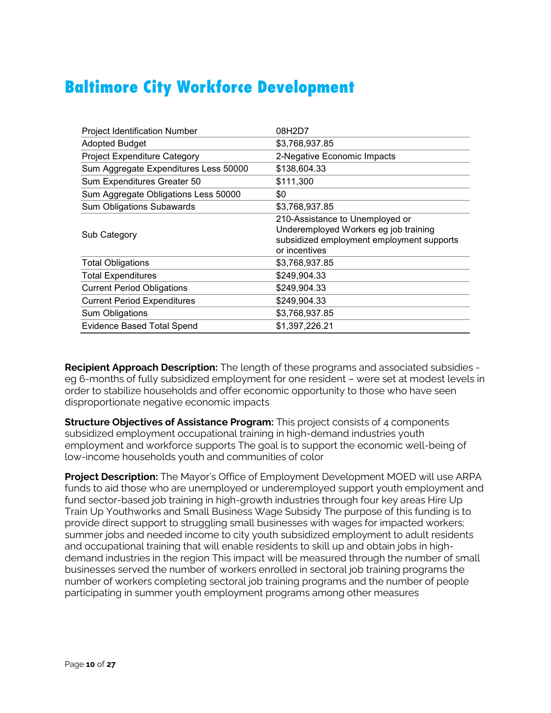## **Baltimore City Workforce Development**

| <b>Project Identification Number</b>  | 08H2D7                                                                                                                                 |
|---------------------------------------|----------------------------------------------------------------------------------------------------------------------------------------|
| <b>Adopted Budget</b>                 | \$3,768,937.85                                                                                                                         |
| <b>Project Expenditure Category</b>   | 2-Negative Economic Impacts                                                                                                            |
| Sum Aggregate Expenditures Less 50000 | \$138,604.33                                                                                                                           |
| Sum Expenditures Greater 50           | \$111,300                                                                                                                              |
| Sum Aggregate Obligations Less 50000  | \$0                                                                                                                                    |
| <b>Sum Obligations Subawards</b>      | \$3,768,937.85                                                                                                                         |
| Sub Category                          | 210-Assistance to Unemployed or<br>Underemployed Workers eg job training<br>subsidized employment employment supports<br>or incentives |
| <b>Total Obligations</b>              | \$3,768,937.85                                                                                                                         |
| <b>Total Expenditures</b>             | \$249,904.33                                                                                                                           |
| <b>Current Period Obligations</b>     | \$249,904.33                                                                                                                           |
| <b>Current Period Expenditures</b>    | \$249,904.33                                                                                                                           |
| Sum Obligations                       | \$3,768,937.85                                                                                                                         |
| <b>Evidence Based Total Spend</b>     | \$1,397,226.21                                                                                                                         |

**Recipient Approach Description:** The length of these programs and associated subsidies eg 6-months of fully subsidized employment for one resident – were set at modest levels in order to stabilize households and offer economic opportunity to those who have seen disproportionate negative economic impacts

**Structure Objectives of Assistance Program:** This project consists of 4 components subsidized employment occupational training in high-demand industries youth employment and workforce supports The goal is to support the economic well-being of low-income households youth and communities of color

**Project Description:** The Mayor's Office of Employment Development MOED will use ARPA funds to aid those who are unemployed or underemployed support youth employment and fund sector-based job training in high-growth industries through four key areas Hire Up Train Up Youthworks and Small Business Wage Subsidy The purpose of this funding is to provide direct support to struggling small businesses with wages for impacted workers; summer jobs and needed income to city youth subsidized employment to adult residents and occupational training that will enable residents to skill up and obtain jobs in highdemand industries in the region This impact will be measured through the number of small businesses served the number of workers enrolled in sectoral job training programs the number of workers completing sectoral job training programs and the number of people participating in summer youth employment programs among other measures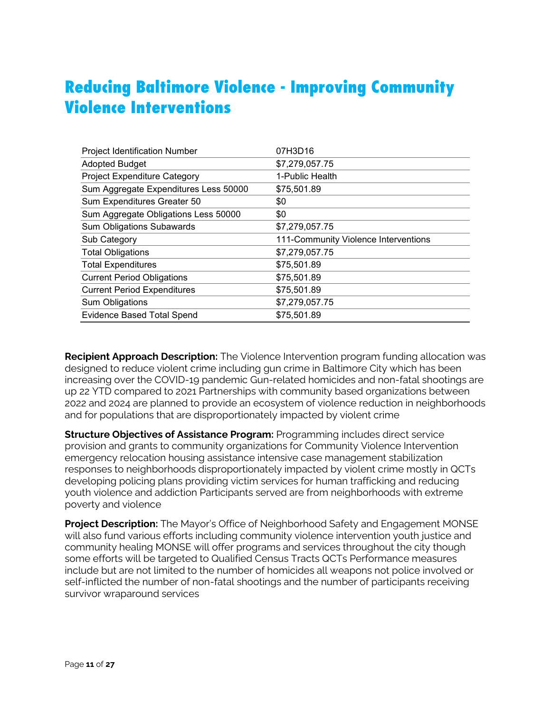## **Reducing Baltimore Violence - Improving Community Violence Interventions**

| <b>Project Identification Number</b>  | 07H3D16                              |
|---------------------------------------|--------------------------------------|
| <b>Adopted Budget</b>                 | \$7,279,057.75                       |
| Project Expenditure Category          | 1-Public Health                      |
| Sum Aggregate Expenditures Less 50000 | \$75,501.89                          |
| Sum Expenditures Greater 50           | \$0                                  |
| Sum Aggregate Obligations Less 50000  | \$0                                  |
| <b>Sum Obligations Subawards</b>      | \$7,279,057.75                       |
| Sub Category                          | 111-Community Violence Interventions |
| <b>Total Obligations</b>              | \$7,279,057.75                       |
| <b>Total Expenditures</b>             | \$75,501.89                          |
| <b>Current Period Obligations</b>     | \$75,501.89                          |
| <b>Current Period Expenditures</b>    | \$75,501.89                          |
| Sum Obligations                       | \$7,279,057.75                       |
| <b>Evidence Based Total Spend</b>     | \$75,501.89                          |

**Recipient Approach Description:** The Violence Intervention program funding allocation was designed to reduce violent crime including gun crime in Baltimore City which has been increasing over the COVID-19 pandemic Gun-related homicides and non-fatal shootings are up 22 YTD compared to 2021 Partnerships with community based organizations between 2022 and 2024 are planned to provide an ecosystem of violence reduction in neighborhoods and for populations that are disproportionately impacted by violent crime

**Structure Objectives of Assistance Program:** Programming includes direct service provision and grants to community organizations for Community Violence Intervention emergency relocation housing assistance intensive case management stabilization responses to neighborhoods disproportionately impacted by violent crime mostly in QCTs developing policing plans providing victim services for human trafficking and reducing youth violence and addiction Participants served are from neighborhoods with extreme poverty and violence

**Project Description:** The Mayor's Office of Neighborhood Safety and Engagement MONSE will also fund various efforts including community violence intervention youth justice and community healing MONSE will offer programs and services throughout the city though some efforts will be targeted to Qualified Census Tracts QCTs Performance measures include but are not limited to the number of homicides all weapons not police involved or self-inflicted the number of non-fatal shootings and the number of participants receiving survivor wraparound services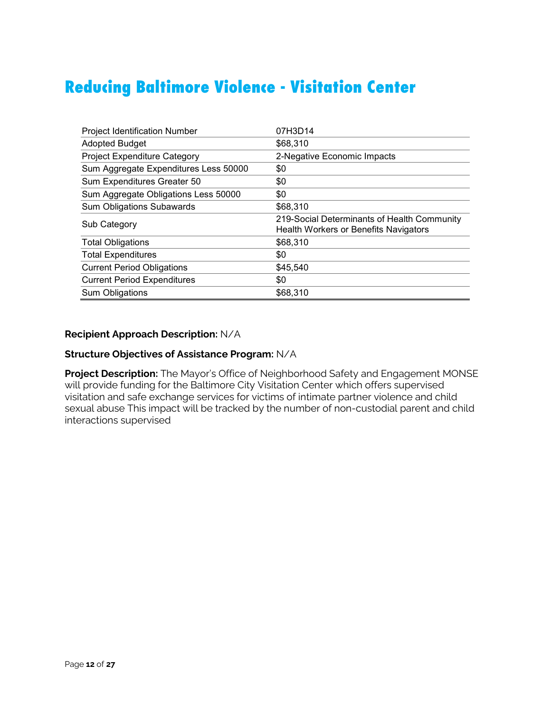## **Reducing Baltimore Violence - Visitation Center**

| <b>Project Identification Number</b>  | 07H3D14                                                                              |
|---------------------------------------|--------------------------------------------------------------------------------------|
| <b>Adopted Budget</b>                 | \$68,310                                                                             |
| <b>Project Expenditure Category</b>   | 2-Negative Economic Impacts                                                          |
| Sum Aggregate Expenditures Less 50000 | \$0                                                                                  |
| Sum Expenditures Greater 50           | \$0                                                                                  |
| Sum Aggregate Obligations Less 50000  | \$0                                                                                  |
| <b>Sum Obligations Subawards</b>      | \$68,310                                                                             |
| Sub Category                          | 219-Social Determinants of Health Community<br>Health Workers or Benefits Navigators |
| <b>Total Obligations</b>              | \$68,310                                                                             |
| <b>Total Expenditures</b>             | \$0                                                                                  |
| <b>Current Period Obligations</b>     | \$45,540                                                                             |
| <b>Current Period Expenditures</b>    | \$0                                                                                  |
| Sum Obligations                       | \$68,310                                                                             |

#### **Recipient Approach Description:** N/A

#### **Structure Objectives of Assistance Program:** N/A

**Project Description:** The Mayor's Office of Neighborhood Safety and Engagement MONSE will provide funding for the Baltimore City Visitation Center which offers supervised visitation and safe exchange services for victims of intimate partner violence and child sexual abuse This impact will be tracked by the number of non-custodial parent and child interactions supervised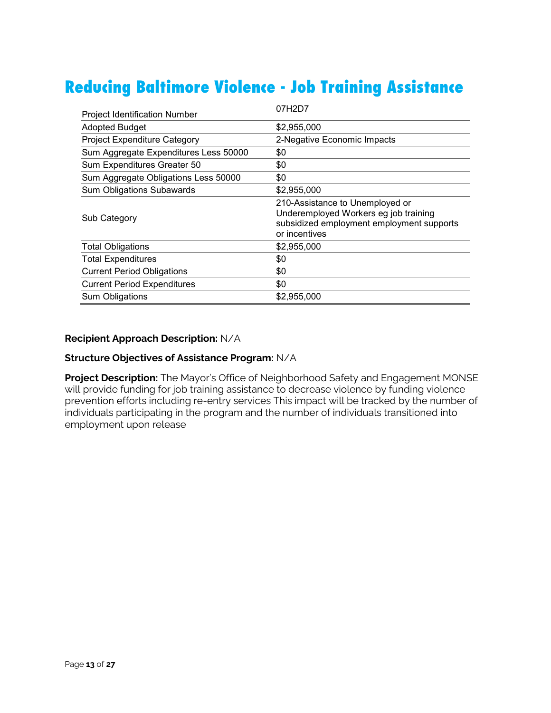## **Reducing Baltimore Violence - Job Training Assistance**

| <b>Project Identification Number</b>  | 07H2D7                                                                                                                                 |
|---------------------------------------|----------------------------------------------------------------------------------------------------------------------------------------|
| <b>Adopted Budget</b>                 | \$2,955,000                                                                                                                            |
| <b>Project Expenditure Category</b>   | 2-Negative Economic Impacts                                                                                                            |
| Sum Aggregate Expenditures Less 50000 | \$0                                                                                                                                    |
| Sum Expenditures Greater 50           | \$0                                                                                                                                    |
| Sum Aggregate Obligations Less 50000  | \$0                                                                                                                                    |
| <b>Sum Obligations Subawards</b>      | \$2,955,000                                                                                                                            |
| Sub Category                          | 210-Assistance to Unemployed or<br>Underemployed Workers eg job training<br>subsidized employment employment supports<br>or incentives |
| <b>Total Obligations</b>              | \$2,955,000                                                                                                                            |
| <b>Total Expenditures</b>             | \$0                                                                                                                                    |
| <b>Current Period Obligations</b>     | \$0                                                                                                                                    |
| <b>Current Period Expenditures</b>    | \$0                                                                                                                                    |
| Sum Obligations                       | \$2,955,000                                                                                                                            |

#### **Recipient Approach Description:** N/A

#### **Structure Objectives of Assistance Program:** N/A

**Project Description:** The Mayor's Office of Neighborhood Safety and Engagement MONSE will provide funding for job training assistance to decrease violence by funding violence prevention efforts including re-entry services This impact will be tracked by the number of individuals participating in the program and the number of individuals transitioned into employment upon release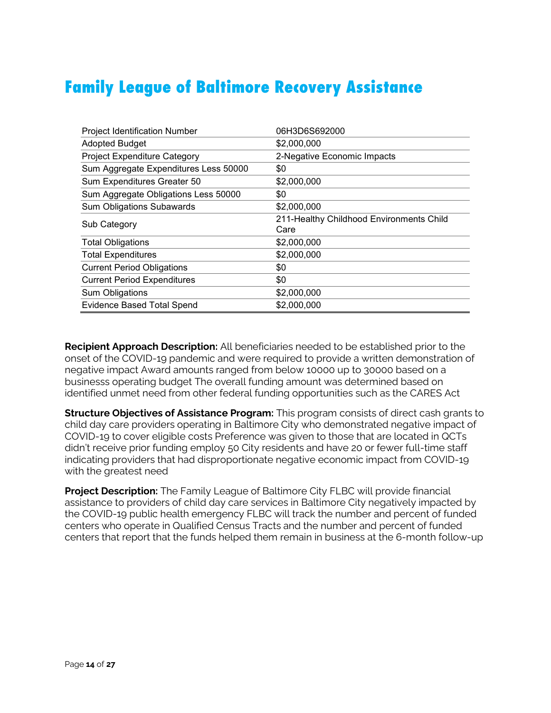## **Family League of Baltimore Recovery Assistance**

| <b>Project Identification Number</b>  | 06H3D6S692000                                    |
|---------------------------------------|--------------------------------------------------|
| <b>Adopted Budget</b>                 | \$2,000,000                                      |
| <b>Project Expenditure Category</b>   | 2-Negative Economic Impacts                      |
| Sum Aggregate Expenditures Less 50000 | \$0                                              |
| Sum Expenditures Greater 50           | \$2,000,000                                      |
| Sum Aggregate Obligations Less 50000  | \$0                                              |
| <b>Sum Obligations Subawards</b>      | \$2,000,000                                      |
| Sub Category                          | 211-Healthy Childhood Environments Child<br>Care |
| <b>Total Obligations</b>              | \$2,000,000                                      |
| <b>Total Expenditures</b>             | \$2,000,000                                      |
| <b>Current Period Obligations</b>     | \$0                                              |
| <b>Current Period Expenditures</b>    | \$0                                              |
| Sum Obligations                       | \$2,000,000                                      |
| <b>Evidence Based Total Spend</b>     | \$2,000,000                                      |

**Recipient Approach Description:** All beneficiaries needed to be established prior to the onset of the COVID-19 pandemic and were required to provide a written demonstration of negative impact Award amounts ranged from below 10000 up to 30000 based on a businesss operating budget The overall funding amount was determined based on identified unmet need from other federal funding opportunities such as the CARES Act

**Structure Objectives of Assistance Program:** This program consists of direct cash grants to child day care providers operating in Baltimore City who demonstrated negative impact of COVID-19 to cover eligible costs Preference was given to those that are located in QCTs didn't receive prior funding employ 50 City residents and have 20 or fewer full-time staff indicating providers that had disproportionate negative economic impact from COVID-19 with the greatest need

**Project Description:** The Family League of Baltimore City FLBC will provide financial assistance to providers of child day care services in Baltimore City negatively impacted by the COVID-19 public health emergency FLBC will track the number and percent of funded centers who operate in Qualified Census Tracts and the number and percent of funded centers that report that the funds helped them remain in business at the 6-month follow-up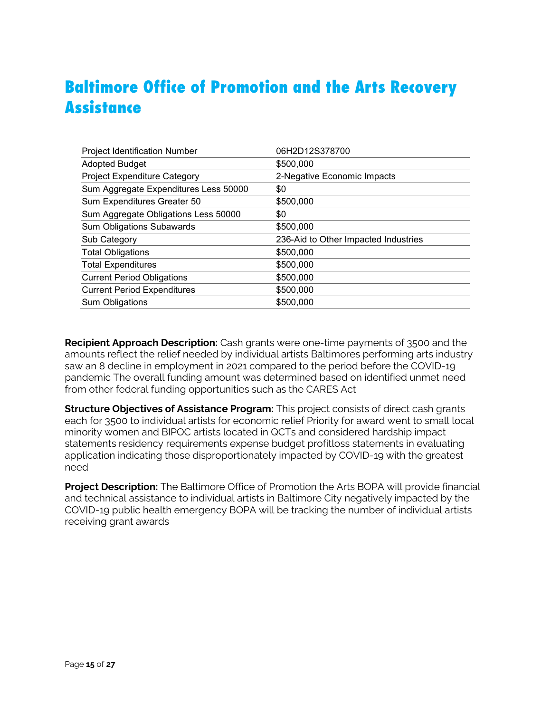## **Baltimore Office of Promotion and the Arts Recovery Assistance**

| 06H2D12S378700                       |
|--------------------------------------|
| \$500,000                            |
| 2-Negative Economic Impacts          |
| \$0                                  |
| \$500,000                            |
| \$0                                  |
| \$500,000                            |
| 236-Aid to Other Impacted Industries |
| \$500,000                            |
| \$500,000                            |
| \$500,000                            |
| \$500,000                            |
| \$500,000                            |
|                                      |

**Recipient Approach Description:** Cash grants were one-time payments of 3500 and the amounts reflect the relief needed by individual artists Baltimores performing arts industry saw an 8 decline in employment in 2021 compared to the period before the COVID-19 pandemic The overall funding amount was determined based on identified unmet need from other federal funding opportunities such as the CARES Act

**Structure Objectives of Assistance Program:** This project consists of direct cash grants each for 3500 to individual artists for economic relief Priority for award went to small local minority women and BIPOC artists located in QCTs and considered hardship impact statements residency requirements expense budget profitloss statements in evaluating application indicating those disproportionately impacted by COVID-19 with the greatest need

**Project Description:** The Baltimore Office of Promotion the Arts BOPA will provide financial and technical assistance to individual artists in Baltimore City negatively impacted by the COVID-19 public health emergency BOPA will be tracking the number of individual artists receiving grant awards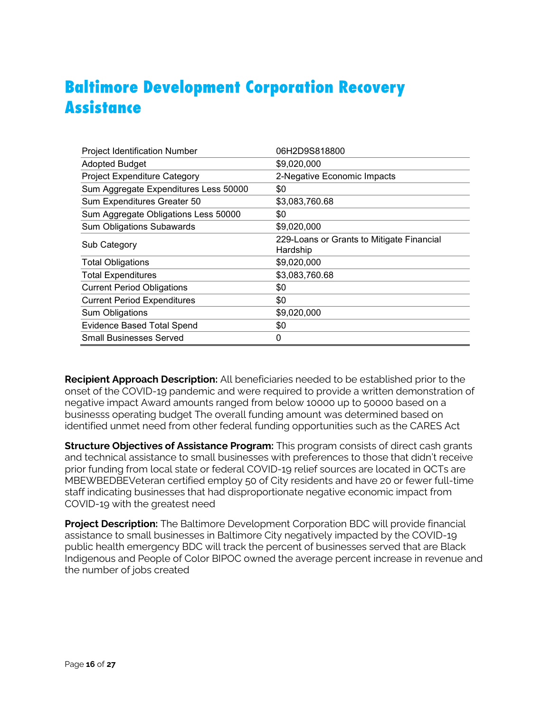## **Baltimore Development Corporation Recovery Assistance**

| <b>Project Identification Number</b>  | 06H2D9S818800                                         |
|---------------------------------------|-------------------------------------------------------|
| <b>Adopted Budget</b>                 | \$9,020,000                                           |
| <b>Project Expenditure Category</b>   | 2-Negative Economic Impacts                           |
| Sum Aggregate Expenditures Less 50000 | \$0                                                   |
| Sum Expenditures Greater 50           | \$3,083,760.68                                        |
| Sum Aggregate Obligations Less 50000  | \$0                                                   |
| <b>Sum Obligations Subawards</b>      | \$9,020,000                                           |
| Sub Category                          | 229-Loans or Grants to Mitigate Financial<br>Hardship |
| <b>Total Obligations</b>              | \$9,020,000                                           |
| <b>Total Expenditures</b>             | \$3,083,760.68                                        |
| <b>Current Period Obligations</b>     | \$0                                                   |
| <b>Current Period Expenditures</b>    | \$0                                                   |
| Sum Obligations                       | \$9,020,000                                           |
| <b>Evidence Based Total Spend</b>     | \$0                                                   |
| <b>Small Businesses Served</b>        | 0                                                     |

**Recipient Approach Description:** All beneficiaries needed to be established prior to the onset of the COVID-19 pandemic and were required to provide a written demonstration of negative impact Award amounts ranged from below 10000 up to 50000 based on a businesss operating budget The overall funding amount was determined based on identified unmet need from other federal funding opportunities such as the CARES Act

**Structure Objectives of Assistance Program:** This program consists of direct cash grants and technical assistance to small businesses with preferences to those that didn't receive prior funding from local state or federal COVID-19 relief sources are located in QCTs are MBEWBEDBEVeteran certified employ 50 of City residents and have 20 or fewer full-time staff indicating businesses that had disproportionate negative economic impact from COVID-19 with the greatest need

**Project Description:** The Baltimore Development Corporation BDC will provide financial assistance to small businesses in Baltimore City negatively impacted by the COVID-19 public health emergency BDC will track the percent of businesses served that are Black Indigenous and People of Color BIPOC owned the average percent increase in revenue and the number of jobs created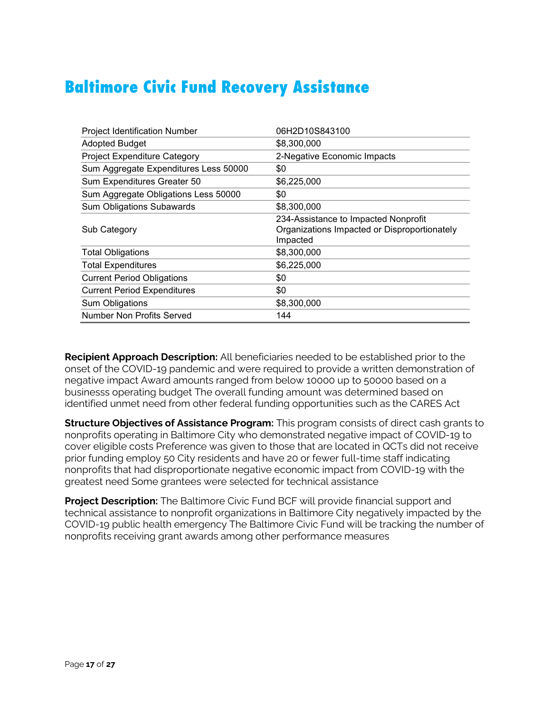## **Baltimore Civic Fund Recovery Assistance**

| <b>Project Identification Number</b>  | 06H2D10S843100                                           |
|---------------------------------------|----------------------------------------------------------|
| <b>Adopted Budget</b>                 | \$8,300,000                                              |
| <b>Project Expenditure Category</b>   | 2-Negative Economic Impacts                              |
| Sum Aggregate Expenditures Less 50000 | \$0                                                      |
| Sum Expenditures Greater 50           | \$6,225,000                                              |
| Sum Aggregate Obligations Less 50000  | \$0                                                      |
| <b>Sum Obligations Subawards</b>      | \$8,300,000                                              |
|                                       | 234-Assistance to Impacted Nonprofit                     |
| Sub Category                          | Organizations Impacted or Disproportionately<br>Impacted |
| <b>Total Obligations</b>              | \$8,300,000                                              |
| <b>Total Expenditures</b>             | \$6,225,000                                              |
| <b>Current Period Obligations</b>     | \$0                                                      |
| <b>Current Period Expenditures</b>    | \$0                                                      |
| Sum Obligations                       | \$8,300,000                                              |
| Number Non Profits Served             | 144                                                      |

**Recipient Approach Description:** All beneficiaries needed to be established prior to the onset of the COVID-19 pandemic and were required to provide a written demonstration of negative impact Award amounts ranged from below 10000 up to 50000 based on a businesss operating budget The overall funding amount was determined based on identified unmet need from other federal funding opportunities such as the CARES Act

**Structure Objectives of Assistance Program:** This program consists of direct cash grants to nonprofits operating in Baltimore City who demonstrated negative impact of COVID-19 to cover eligible costs Preference was given to those that are located in QCTs did not receive prior funding employ 50 City residents and have 20 or fewer full-time staff indicating nonprofits that had disproportionate negative economic impact from COVID-19 with the greatest need Some grantees were selected for technical assistance

**Project Description:** The Baltimore Civic Fund BCF will provide financial support and technical assistance to nonprofit organizations in Baltimore City negatively impacted by the COVID-19 public health emergency The Baltimore Civic Fund will be tracking the number of nonprofits receiving grant awards among other performance measures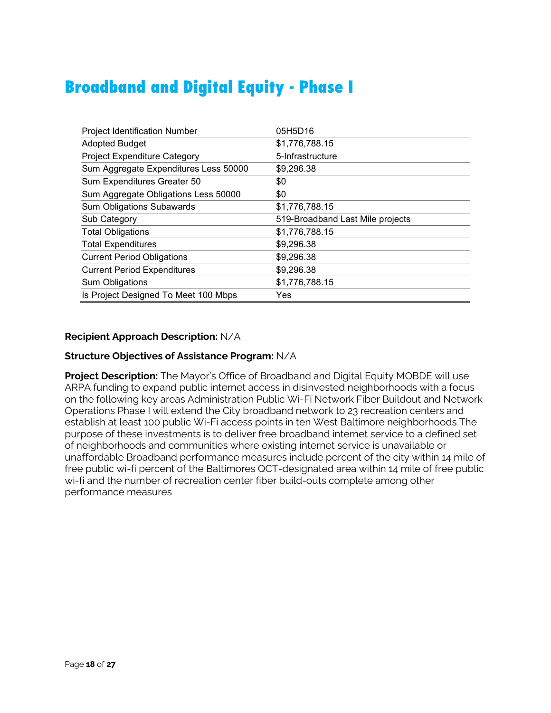## **Broadband and Digital Equity - Phase I**

| <b>Project Identification Number</b>  | 05H5D16                          |
|---------------------------------------|----------------------------------|
| <b>Adopted Budget</b>                 | \$1,776,788.15                   |
| <b>Project Expenditure Category</b>   | 5-Infrastructure                 |
| Sum Aggregate Expenditures Less 50000 | \$9,296.38                       |
| Sum Expenditures Greater 50           | \$0                              |
| Sum Aggregate Obligations Less 50000  | \$0                              |
| <b>Sum Obligations Subawards</b>      | \$1,776,788.15                   |
| Sub Category                          | 519-Broadband Last Mile projects |
| <b>Total Obligations</b>              | \$1,776,788.15                   |
| <b>Total Expenditures</b>             | \$9,296.38                       |
| <b>Current Period Obligations</b>     | \$9,296.38                       |
| <b>Current Period Expenditures</b>    | \$9,296.38                       |
| Sum Obligations                       | \$1,776,788.15                   |
| Is Project Designed To Meet 100 Mbps  | Yes                              |

## **Recipient Approach Description:** N/A

### **Structure Objectives of Assistance Program:** N/A

**Project Description:** The Mayor's Office of Broadband and Digital Equity MOBDE will use ARPA funding to expand public internet access in disinvested neighborhoods with a focus on the following key areas Administration Public Wi-Fi Network Fiber Buildout and Network Operations Phase I will extend the City broadband network to 23 recreation centers and establish at least 100 public Wi-Fi access points in ten West Baltimore neighborhoods The purpose of these investments is to deliver free broadband internet service to a defined set of neighborhoods and communities where existing internet service is unavailable or unaffordable Broadband performance measures include percent of the city within 14 mile of free public wi-fi percent of the Baltimores QCT-designated area within 14 mile of free public wi-fi and the number of recreation center fiber build-outs complete among other performance measures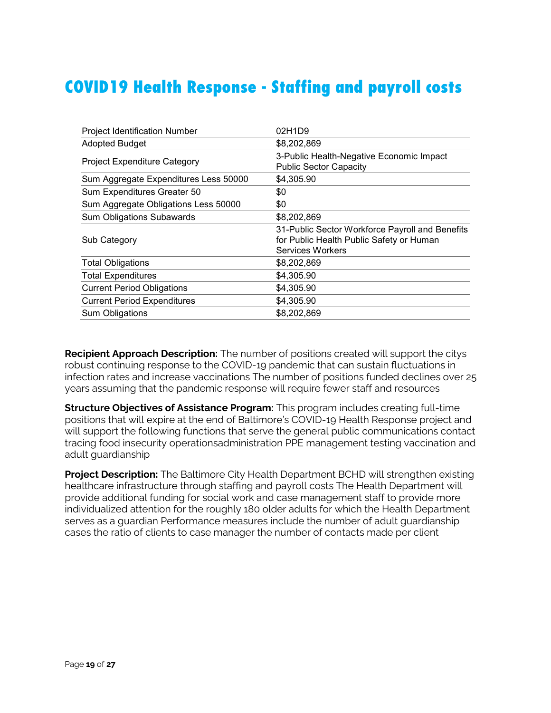## **COVID19 Health Response - Staffing and payroll costs**

| <b>Project Identification Number</b>  | 02H1D9                                                                                                                 |
|---------------------------------------|------------------------------------------------------------------------------------------------------------------------|
| <b>Adopted Budget</b>                 | \$8,202,869                                                                                                            |
| <b>Project Expenditure Category</b>   | 3-Public Health-Negative Economic Impact<br><b>Public Sector Capacity</b>                                              |
| Sum Aggregate Expenditures Less 50000 | \$4,305.90                                                                                                             |
| Sum Expenditures Greater 50           | \$0                                                                                                                    |
| Sum Aggregate Obligations Less 50000  | \$0                                                                                                                    |
| <b>Sum Obligations Subawards</b>      | \$8,202,869                                                                                                            |
| Sub Category                          | 31-Public Sector Workforce Payroll and Benefits<br>for Public Health Public Safety or Human<br><b>Services Workers</b> |
| <b>Total Obligations</b>              | \$8,202,869                                                                                                            |
| <b>Total Expenditures</b>             | \$4,305.90                                                                                                             |
| <b>Current Period Obligations</b>     | \$4,305.90                                                                                                             |
| <b>Current Period Expenditures</b>    | \$4,305.90                                                                                                             |
| Sum Obligations                       | \$8,202,869                                                                                                            |

**Recipient Approach Description:** The number of positions created will support the citys robust continuing response to the COVID-19 pandemic that can sustain fluctuations in infection rates and increase vaccinations The number of positions funded declines over 25 years assuming that the pandemic response will require fewer staff and resources

**Structure Objectives of Assistance Program:** This program includes creating full-time positions that will expire at the end of Baltimore's COVID-19 Health Response project and will support the following functions that serve the general public communications contact tracing food insecurity operationsadministration PPE management testing vaccination and adult guardianship

**Project Description:** The Baltimore City Health Department BCHD will strengthen existing healthcare infrastructure through staffing and payroll costs The Health Department will provide additional funding for social work and case management staff to provide more individualized attention for the roughly 180 older adults for which the Health Department serves as a guardian Performance measures include the number of adult guardianship cases the ratio of clients to case manager the number of contacts made per client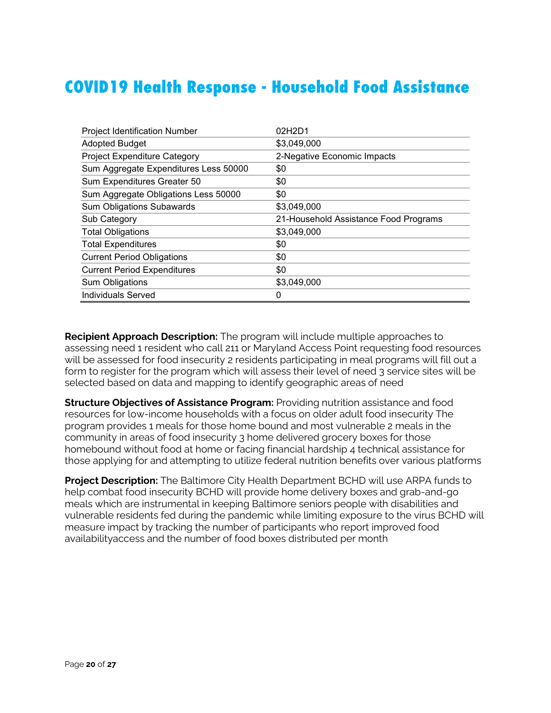## **COVID19 Health Response - Household Food Assistance**

| <b>Project Identification Number</b>  | 02H2D1                                |
|---------------------------------------|---------------------------------------|
| <b>Adopted Budget</b>                 | \$3,049,000                           |
| <b>Project Expenditure Category</b>   | 2-Negative Economic Impacts           |
| Sum Aggregate Expenditures Less 50000 | \$0                                   |
| Sum Expenditures Greater 50           | \$0                                   |
| Sum Aggregate Obligations Less 50000  | \$0                                   |
| <b>Sum Obligations Subawards</b>      | \$3,049,000                           |
| Sub Category                          | 21-Household Assistance Food Programs |
| <b>Total Obligations</b>              | \$3,049,000                           |
| <b>Total Expenditures</b>             | \$0                                   |
| <b>Current Period Obligations</b>     | \$0                                   |
| <b>Current Period Expenditures</b>    | \$0                                   |
| Sum Obligations                       | \$3,049,000                           |
| <b>Individuals Served</b>             | 0                                     |

**Recipient Approach Description:** The program will include multiple approaches to assessing need 1 resident who call 211 or Maryland Access Point requesting food resources will be assessed for food insecurity 2 residents participating in meal programs will fill out a form to register for the program which will assess their level of need 3 service sites will be selected based on data and mapping to identify geographic areas of need

**Structure Objectives of Assistance Program:** Providing nutrition assistance and food resources for low-income households with a focus on older adult food insecurity The program provides 1 meals for those home bound and most vulnerable 2 meals in the community in areas of food insecurity 3 home delivered grocery boxes for those homebound without food at home or facing financial hardship 4 technical assistance for those applying for and attempting to utilize federal nutrition benefits over various platforms

**Project Description:** The Baltimore City Health Department BCHD will use ARPA funds to help combat food insecurity BCHD will provide home delivery boxes and grab-and-go meals which are instrumental in keeping Baltimore seniors people with disabilities and vulnerable residents fed during the pandemic while limiting exposure to the virus BCHD will measure impact by tracking the number of participants who report improved food availabilityaccess and the number of food boxes distributed per month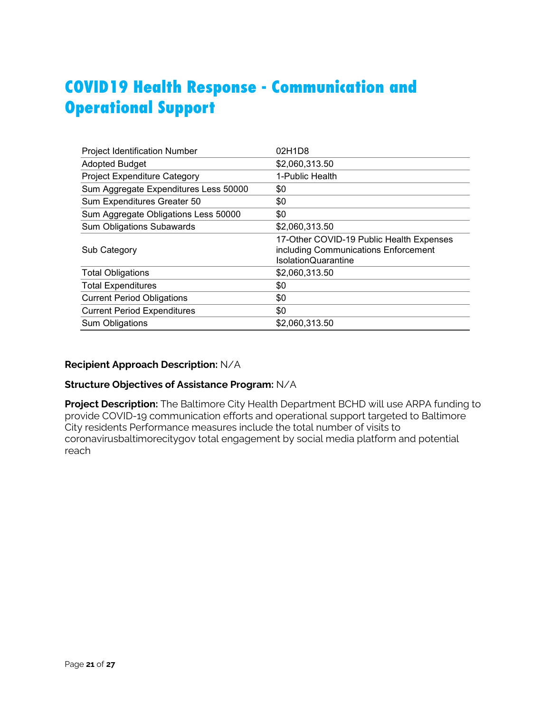## **COVID19 Health Response - Communication and Operational Support**

| <b>Project Identification Number</b>  | 02H1D8                                                                                                         |
|---------------------------------------|----------------------------------------------------------------------------------------------------------------|
| <b>Adopted Budget</b>                 | \$2,060,313.50                                                                                                 |
| <b>Project Expenditure Category</b>   | 1-Public Health                                                                                                |
| Sum Aggregate Expenditures Less 50000 | \$0                                                                                                            |
| Sum Expenditures Greater 50           | \$0                                                                                                            |
| Sum Aggregate Obligations Less 50000  | \$0                                                                                                            |
| <b>Sum Obligations Subawards</b>      | \$2,060,313.50                                                                                                 |
| Sub Category                          | 17-Other COVID-19 Public Health Expenses<br>including Communications Enforcement<br><b>IsolationQuarantine</b> |
| <b>Total Obligations</b>              | \$2,060,313.50                                                                                                 |
| <b>Total Expenditures</b>             | \$0                                                                                                            |
| <b>Current Period Obligations</b>     | \$0                                                                                                            |
| <b>Current Period Expenditures</b>    | \$0                                                                                                            |
| Sum Obligations                       | \$2,060,313.50                                                                                                 |

### **Recipient Approach Description:** N/A

#### **Structure Objectives of Assistance Program:** N/A

**Project Description:** The Baltimore City Health Department BCHD will use ARPA funding to provide COVID-19 communication efforts and operational support targeted to Baltimore City residents Performance measures include the total number of visits to coronavirusbaltimorecitygov total engagement by social media platform and potential reach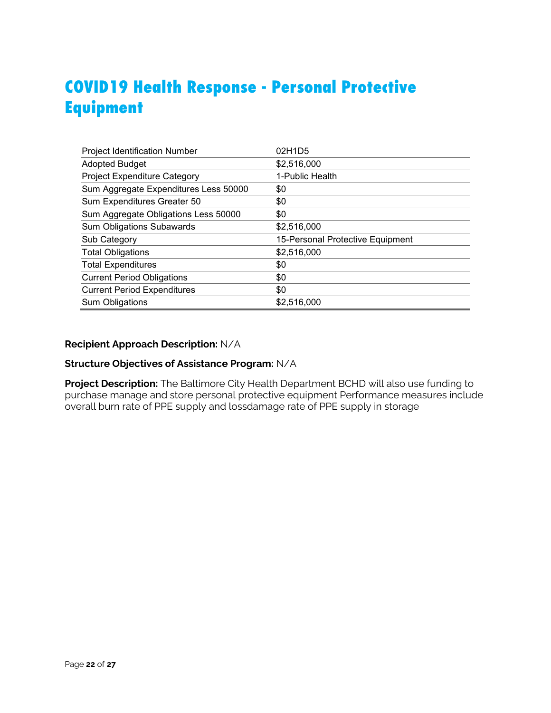## **COVID19 Health Response - Personal Protective Equipment**

| <b>Project Identification Number</b>  | 02H1D5                           |
|---------------------------------------|----------------------------------|
| <b>Adopted Budget</b>                 | \$2,516,000                      |
| Project Expenditure Category          | 1-Public Health                  |
| Sum Aggregate Expenditures Less 50000 | \$0                              |
| Sum Expenditures Greater 50           | \$0                              |
| Sum Aggregate Obligations Less 50000  | \$0                              |
| <b>Sum Obligations Subawards</b>      | \$2,516,000                      |
| Sub Category                          | 15-Personal Protective Equipment |
| <b>Total Obligations</b>              | \$2,516,000                      |
| <b>Total Expenditures</b>             | \$0                              |
| <b>Current Period Obligations</b>     | \$0                              |
| <b>Current Period Expenditures</b>    | \$0                              |
| Sum Obligations                       | \$2,516,000                      |

#### **Recipient Approach Description:** N/A

## **Structure Objectives of Assistance Program:** N/A

**Project Description:** The Baltimore City Health Department BCHD will also use funding to purchase manage and store personal protective equipment Performance measures include overall burn rate of PPE supply and lossdamage rate of PPE supply in storage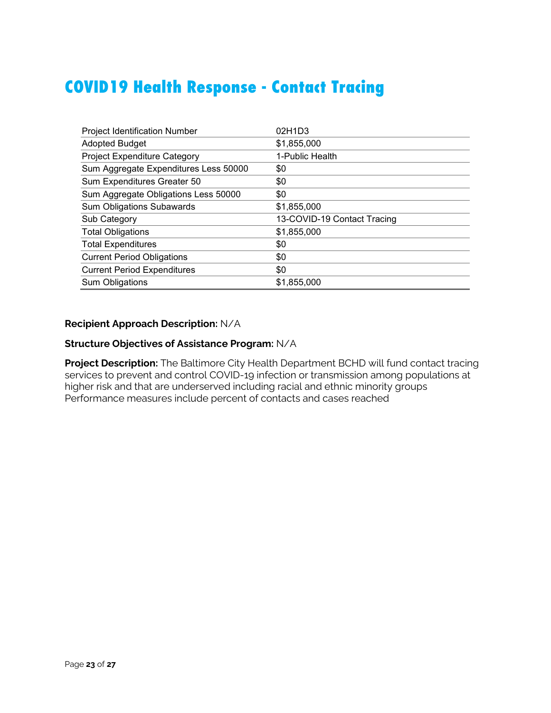## **COVID19 Health Response - Contact Tracing**

| <b>Project Identification Number</b>  | 02H1D3                      |
|---------------------------------------|-----------------------------|
| <b>Adopted Budget</b>                 | \$1,855,000                 |
| Project Expenditure Category          | 1-Public Health             |
| Sum Aggregate Expenditures Less 50000 | \$0                         |
| Sum Expenditures Greater 50           | \$0                         |
| Sum Aggregate Obligations Less 50000  | \$0                         |
| <b>Sum Obligations Subawards</b>      | \$1,855,000                 |
| Sub Category                          | 13-COVID-19 Contact Tracing |
| <b>Total Obligations</b>              | \$1,855,000                 |
| <b>Total Expenditures</b>             | \$0                         |
| <b>Current Period Obligations</b>     | \$0                         |
| <b>Current Period Expenditures</b>    | \$0                         |
| <b>Sum Obligations</b>                | \$1,855,000                 |

### **Recipient Approach Description:** N/A

### **Structure Objectives of Assistance Program:** N/A

**Project Description:** The Baltimore City Health Department BCHD will fund contact tracing services to prevent and control COVID-19 infection or transmission among populations at higher risk and that are underserved including racial and ethnic minority groups Performance measures include percent of contacts and cases reached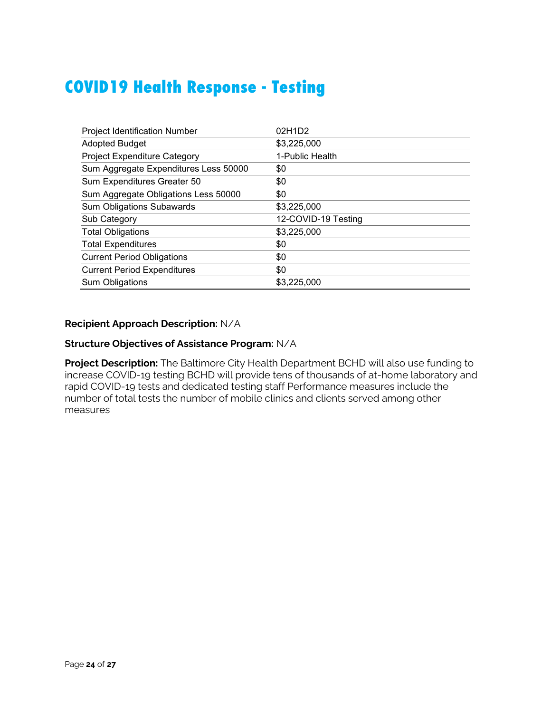## **COVID19 Health Response - Testing**

| <b>Project Identification Number</b>  | 02H1D2              |
|---------------------------------------|---------------------|
| <b>Adopted Budget</b>                 | \$3,225,000         |
| Project Expenditure Category          | 1-Public Health     |
| Sum Aggregate Expenditures Less 50000 | \$0                 |
| Sum Expenditures Greater 50           | \$0                 |
| Sum Aggregate Obligations Less 50000  | \$0                 |
| <b>Sum Obligations Subawards</b>      | \$3,225,000         |
| Sub Category                          | 12-COVID-19 Testing |
| <b>Total Obligations</b>              | \$3,225,000         |
| <b>Total Expenditures</b>             | \$0                 |
| <b>Current Period Obligations</b>     | \$0                 |
| <b>Current Period Expenditures</b>    | \$0                 |
| <b>Sum Obligations</b>                | \$3,225,000         |

### **Recipient Approach Description:** N/A

### **Structure Objectives of Assistance Program:** N/A

**Project Description:** The Baltimore City Health Department BCHD will also use funding to increase COVID-19 testing BCHD will provide tens of thousands of at-home laboratory and rapid COVID-19 tests and dedicated testing staff Performance measures include the number of total tests the number of mobile clinics and clients served among other measures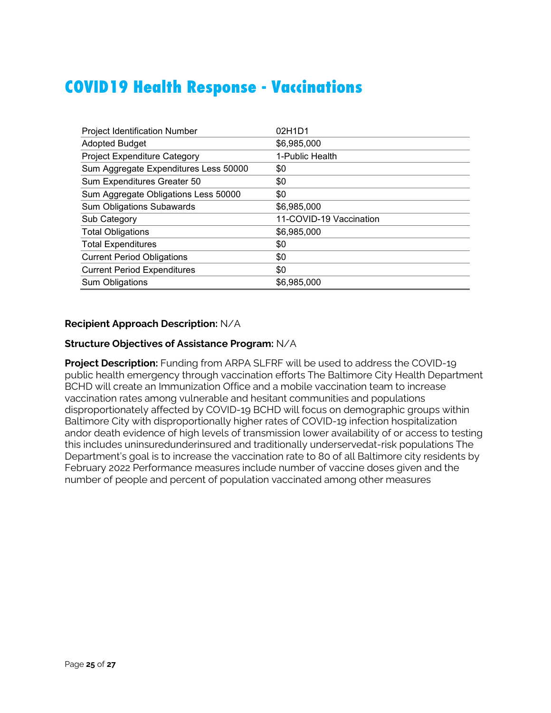## **COVID19 Health Response - Vaccinations**

| <b>Project Identification Number</b>  | 02H1D1                  |
|---------------------------------------|-------------------------|
| <b>Adopted Budget</b>                 | \$6,985,000             |
| <b>Project Expenditure Category</b>   | 1-Public Health         |
| Sum Aggregate Expenditures Less 50000 | \$0                     |
| Sum Expenditures Greater 50           | \$0                     |
| Sum Aggregate Obligations Less 50000  | \$0                     |
| <b>Sum Obligations Subawards</b>      | \$6,985,000             |
| Sub Category                          | 11-COVID-19 Vaccination |
| <b>Total Obligations</b>              | \$6,985,000             |
| <b>Total Expenditures</b>             | \$0                     |
| <b>Current Period Obligations</b>     | \$0                     |
| <b>Current Period Expenditures</b>    | \$0                     |
| <b>Sum Obligations</b>                | \$6,985,000             |

#### **Recipient Approach Description:** N/A

#### **Structure Objectives of Assistance Program:** N/A

**Project Description:** Funding from ARPA SLFRF will be used to address the COVID-19 public health emergency through vaccination efforts The Baltimore City Health Department BCHD will create an Immunization Office and a mobile vaccination team to increase vaccination rates among vulnerable and hesitant communities and populations disproportionately affected by COVID-19 BCHD will focus on demographic groups within Baltimore City with disproportionally higher rates of COVID-19 infection hospitalization andor death evidence of high levels of transmission lower availability of or access to testing this includes uninsuredunderinsured and traditionally underservedat-risk populations The Department's goal is to increase the vaccination rate to 80 of all Baltimore city residents by February 2022 Performance measures include number of vaccine doses given and the number of people and percent of population vaccinated among other measures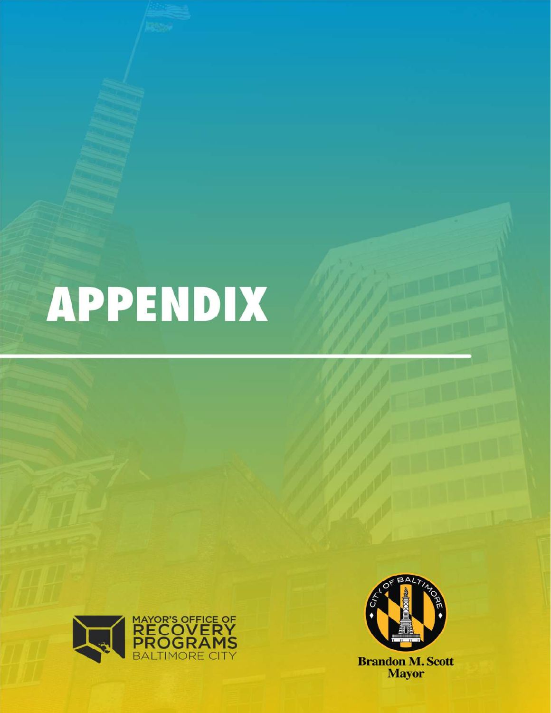# **APPENDIX**





**Brandon M. Scott**<br>Mayor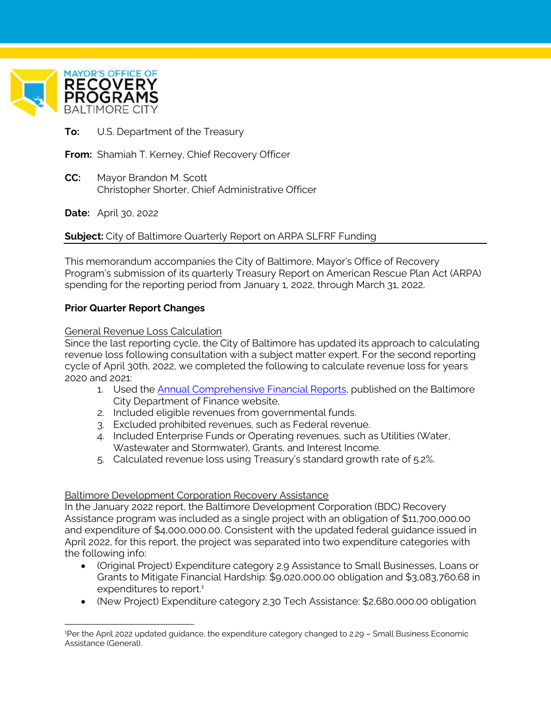

 $\overline{a}$ 

**To:** U.S. Department of the Treasury

**From:** Shamiah T. Kerney, Chief Recovery Officer

**CC:** Mayor Brandon M. Scott Christopher Shorter, Chief Administrative Officer

**Date:** April 30, 2022

**Subject:** City of Baltimore Quarterly Report on ARPA SLFRF Funding

This memorandum accompanies the City of Baltimore, Mayor's Office of Recovery Program's submission of its quarterly Treasury Report on American Rescue Plan Act (ARPA) spending for the reporting period from January 1, 2022, through March 31, 2022.

### **Prior Quarter Report Changes**

General Revenue Loss Calculation

Since the last reporting cycle, the City of Baltimore has updated its approach to calculating revenue loss following consultation with a subject matter expert. For the second reporting cycle of April 30th, 2022, we completed the following to calculate revenue loss for years 2020 and 2021:

- 1. Used the Annual Comprehensive Financial Reports, published on the Baltimore City Department of Finance website.
- 2. Included eligible revenues from governmental funds.
- 3. Excluded prohibited revenues, such as Federal revenue.
- 4. Included Enterprise Funds or Operating revenues, such as Utilities (Water, Wastewater and Stormwater), Grants, and Interest Income.
- 5. Calculated revenue loss using Treasury's standard growth rate of 5.2%.

#### Baltimore Development Corporation Recovery Assistance

In the January 2022 report, the Baltimore Development Corporation (BDC) Recovery Assistance program was included as a single project with an obligation of \$11,700,000.00 and expenditure of \$4,000,000.00. Consistent with the updated federal guidance issued in April 2022, for this report, the project was separated into two expenditure categories with the following info:

- (Original Project) Expenditure category 2.9 Assistance to Small Businesses, Loans or Grants to Mitigate Financial Hardship: \$9,020,000.00 obligation and \$3,083,760.68 in expenditures to report.<sup>1</sup>
- (New Project) Expenditure category 2.30 Tech Assistance: \$2,680,000.00 obligation

<sup>1</sup>Per the April 2022 updated guidance, the expenditure category changed to 2.29 – Small Business Economic Assistance (General).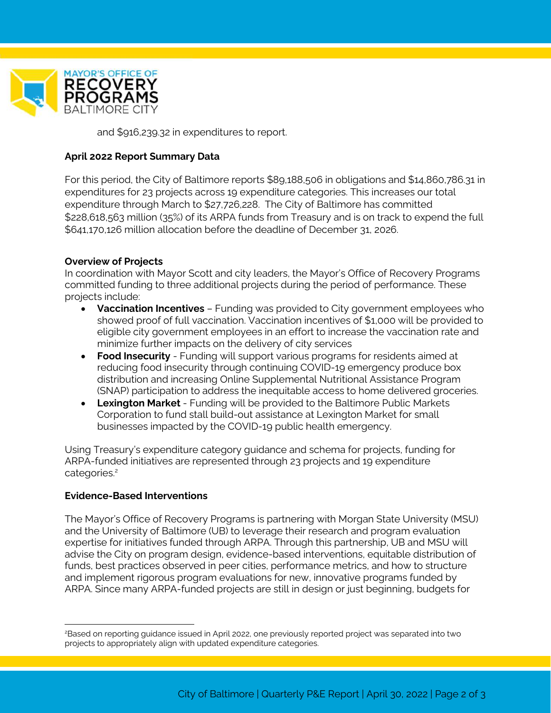

and \$916,239.32 in expenditures to report.

### **April 2022 Report Summary Data**

For this period, the City of Baltimore reports \$89,188,506 in obligations and \$14,860,786.31 in expenditures for 23 projects across 19 expenditure categories. This increases our total expenditure through March to \$27,726,228. The City of Baltimore has committed \$228,618,563 million (35%) of its ARPA funds from Treasury and is on track to expend the full \$641,170,126 million allocation before the deadline of December 31, 2026.

### **Overview of Projects**

In coordination with Mayor Scott and city leaders, the Mayor's Office of Recovery Programs committed funding to three additional projects during the period of performance. These projects include:

- **Vaccination Incentives** Funding was provided to City government employees who showed proof of full vaccination. Vaccination incentives of \$1,000 will be provided to eligible city government employees in an effort to increase the vaccination rate and minimize further impacts on the delivery of city services
- **Food Insecurity** Funding will support various programs for residents aimed at reducing food insecurity through continuing COVID-19 emergency produce box distribution and increasing Online Supplemental Nutritional Assistance Program (SNAP) participation to address the inequitable access to home delivered groceries.
- **Lexington Market** Funding will be provided to the Baltimore Public Markets Corporation to fund stall build-out assistance at Lexington Market for small businesses impacted by the COVID-19 public health emergency.

Using Treasury's expenditure category guidance and schema for projects, funding for ARPA-funded initiatives are represented through 23 projects and 19 expenditure categories.<sup>2</sup>

### **Evidence-Based Interventions**

 $\overline{a}$ 

The Mayor's Office of Recovery Programs is partnering with Morgan State University (MSU) and the University of Baltimore (UB) to leverage their research and program evaluation expertise for initiatives funded through ARPA. Through this partnership, UB and MSU will advise the City on program design, evidence-based interventions, equitable distribution of funds, best practices observed in peer cities, performance metrics, and how to structure and implement rigorous program evaluations for new, innovative programs funded by ARPA. Since many ARPA-funded projects are still in design or just beginning, budgets for

<sup>2</sup>Based on reporting guidance issued in April 2022, one previously reported project was separated into two projects to appropriately align with updated expenditure categories.